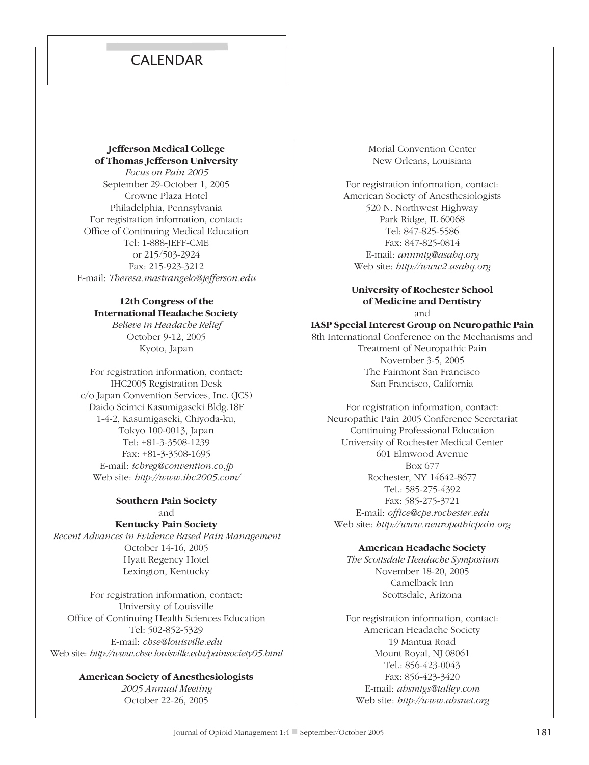# **CALENDAR**

## **Jefferson Medical College of Thomas Jefferson University**

*Focus on Pain 2005* September 29-October 1, 2005 Crowne Plaza Hotel Philadelphia, Pennsylvania For registration information, contact: Office of Continuing Medical Education Tel: 1-888-JEFF-CME or 215/503-2924 Fax: 215-923-3212 E-mail: *Theresa.mastrangelo@jefferson.edu*

# **12th Congress of the International Headache Society**

*Believe in Headache Relief* October 9-12, 2005 Kyoto, Japan

For registration information, contact: IHC2005 Registration Desk c/o Japan Convention Services, Inc. (JCS) Daido Seimei Kasumigaseki Bldg.18F 1-4-2, Kasumigaseki, Chiyoda-ku, Tokyo 100-0013, Japan Tel: +81-3-3508-1239 Fax: +81-3-3508-1695 E-mail: *ichreg@convention.co.jp* Web site: *http://www.ihc2005.com/*

#### **Southern Pain Society** and

**Kentucky Pain Society** *Recent Advances in Evidence Based Pain Management* October 14-16, 2005 Hyatt Regency Hotel Lexington, Kentucky

For registration information, contact: University of Louisville Office of Continuing Health Sciences Education Tel: 502-852-5329 E-mail: *chse@louisville.edu* Web site: *http://www.chse.louisville.edu/painsociety05.html*

# **American Society of Anesthesiologists**

*2005 Annual Meeting* October 22-26, 2005

Morial Convention Center New Orleans, Louisiana

For registration information, contact: American Society of Anesthesiologists 520 N. Northwest Highway Park Ridge, IL 60068 Tel: 847-825-5586 Fax: 847-825-0814 E-mail: *annmtg@asahq.org* Web site: *http://www2.asahq.org*

#### **University of Rochester School of Medicine and Dentistry** and

**IASP Special Interest Group on Neuropathic Pain** 8th International Conference on the Mechanisms and Treatment of Neuropathic Pain November 3-5, 2005

> The Fairmont San Francisco San Francisco, California

For registration information, contact: Neuropathic Pain 2005 Conference Secretariat Continuing Professional Education University of Rochester Medical Center 601 Elmwood Avenue Box 677 Rochester, NY 14642-8677 Tel.: 585-275-4392 Fax: 585-275-3721 E-mail: *office@cpe.rochester.edu* Web site: *http://www.neuropathicpain.org*

#### **American Headache Society**

*The Scottsdale Headache Symposium* November 18-20, 2005 Camelback Inn Scottsdale, Arizona

For registration information, contact: American Headache Society 19 Mantua Road Mount Royal, NJ 08061 Tel.: 856-423-0043 Fax: 856-423-3420 E-mail: *ahsmtgs@talley.com* Web site: *http://www.ahsnet.org*